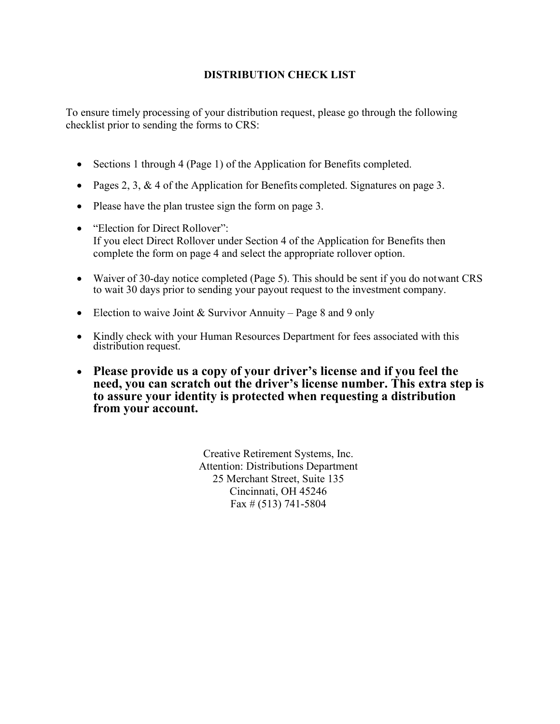## **DISTRIBUTION CHECK LIST**

To ensure timely processing of your distribution request, please go through the following checklist prior to sending the forms to CRS:

- Sections 1 through 4 (Page 1) of the Application for Benefits completed.
- Pages 2, 3, & 4 of the Application for Benefits completed. Signatures on page 3.
- Please have the plan trustee sign the form on page 3.
- "Election for Direct Rollover": If you elect Direct Rollover under Section 4 of the Application for Benefits then complete the form on page 4 and select the appropriate rollover option.
- Waiver of 30-day notice completed (Page 5). This should be sent if you do not want CRS to wait 30 days prior to sending your payout request to the investment company.
- Election to waive Joint & Survivor Annuity Page 8 and 9 only
- Kindly check with your Human Resources Department for fees associated with this distribution request.
- **Please provide us a copy of your driver's license and if you feel the need, you can scratch out the driver's license number. This extra step is to assure your identity is protected when requesting a distribution from your account.**

Creative Retirement Systems, Inc. Attention: Distributions Department 25 Merchant Street, Suite 135 Cincinnati, OH 45246 Fax # (513) 741-5804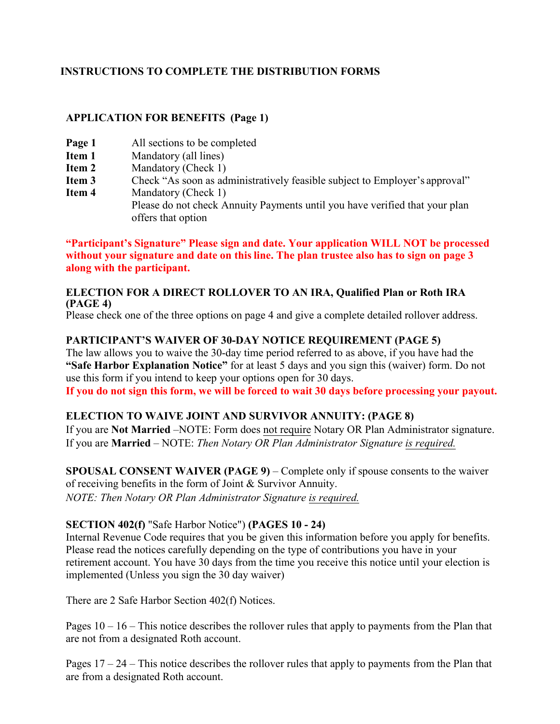## **INSTRUCTIONS TO COMPLETE THE DISTRIBUTION FORMS**

## **APPLICATION FOR BENEFITS (Page 1)**

- **Page 1** All sections to be completed
- **Item 1 Mandatory (all lines)**<br>**Item 2 Mandatory (Check 1)**
- **Mandatory (Check 1)**
- **Item 3** Check "As soon as administratively feasible subject to Employer's approval"<br>**Item 4** Mandatory (Check 1)
- **Mandatory (Check 1)** Please do not check Annuity Payments until you have verified that your plan offers that option

**"Participant's Signature" Please sign and date. Your application WILL NOT be processed without your signature and date on thisline. The plan trustee also has to sign on page 3 along with the participant.**

### **ELECTION FOR A DIRECT ROLLOVER TO AN IRA, Qualified Plan or Roth IRA (PAGE 4)**

Please check one of the three options on page 4 and give a complete detailed rollover address.

## **PARTICIPANT'S WAIVER OF 30-DAY NOTICE REQUIREMENT (PAGE 5)**

The law allows you to waive the 30-day time period referred to as above, if you have had the **"Safe Harbor Explanation Notice"** for at least 5 days and you sign this (waiver) form. Do not use this form if you intend to keep your options open for 30 days.

**If you do not sign this form, we will be forced to wait 30 days before processing your payout.** 

## **ELECTION TO WAIVE JOINT AND SURVIVOR ANNUITY: (PAGE 8)**

If you are **Not Married** –NOTE: Form does not require Notary OR Plan Administrator signature. If you are **Married** – NOTE: *Then Notary OR Plan Administrator Signature is required.*

**SPOUSAL CONSENT WAIVER (PAGE 9)** – Complete only if spouse consents to the waiver of receiving benefits in the form of Joint & Survivor Annuity. *NOTE: Then Notary OR Plan Administrator Signature is required.*

## **SECTION 402(f)** "Safe Harbor Notice") **(PAGES 10 - 24)**

Internal Revenue Code requires that you be given this information before you apply for benefits. Please read the notices carefully depending on the type of contributions you have in your retirement account. You have 30 days from the time you receive this notice until your election is implemented (Unless you sign the 30 day waiver)

There are 2 Safe Harbor Section 402(f) Notices.

Pages  $10 - 16$  – This notice describes the rollover rules that apply to payments from the Plan that are not from a designated Roth account.

Pages 17 – 24 – This notice describes the rollover rules that apply to payments from the Plan that are from a designated Roth account.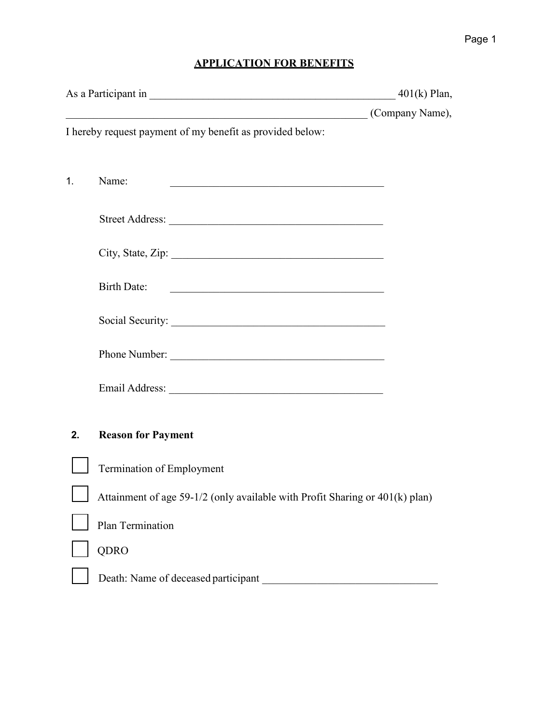# **APPLICATION FOR BENEFITS**

|                |                                                                                   | $401(k)$ Plan,  |
|----------------|-----------------------------------------------------------------------------------|-----------------|
|                |                                                                                   | (Company Name), |
|                | I hereby request payment of my benefit as provided below:                         |                 |
|                |                                                                                   |                 |
| 1 <sub>1</sub> | Name:<br><u> 1989 - Johann John Barn, mars and de Brasilian (b. 1989)</u>         |                 |
|                |                                                                                   |                 |
|                |                                                                                   |                 |
|                |                                                                                   |                 |
|                |                                                                                   |                 |
|                | <b>Birth Date:</b><br><u> 1989 - Johann Barn, mars and de Brasilian (b. 1989)</u> |                 |
|                |                                                                                   |                 |
|                |                                                                                   |                 |
|                | Phone Number:                                                                     |                 |
|                |                                                                                   |                 |
|                |                                                                                   |                 |
| 2.             | <b>Reason for Payment</b>                                                         |                 |
|                |                                                                                   |                 |
|                | Termination of Employment                                                         |                 |
|                | Attainment of age 59-1/2 (only available with Profit Sharing or 401(k) plan)      |                 |
|                | Plan Termination                                                                  |                 |
|                | QDRO                                                                              |                 |
|                |                                                                                   |                 |
|                | Death: Name of deceased participant                                               |                 |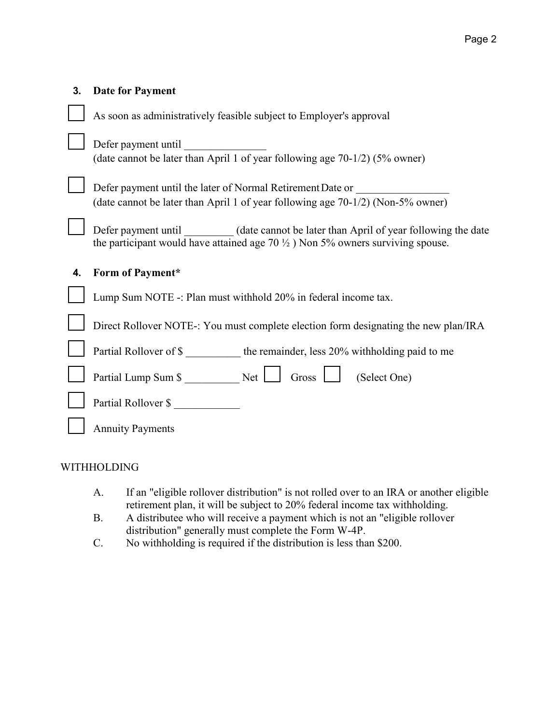| 3. | <b>Date for Payment</b>                                                                                                                                                                |
|----|----------------------------------------------------------------------------------------------------------------------------------------------------------------------------------------|
|    | As soon as administratively feasible subject to Employer's approval                                                                                                                    |
|    | Defer payment until<br>(date cannot be later than April 1 of year following age 70-1/2) (5% owner)                                                                                     |
|    | Defer payment until the later of Normal Retirement Date or<br>(date cannot be later than April 1 of year following age 70-1/2) (Non-5% owner)                                          |
|    | Defer payment until _________ (date cannot be later than April of year following the date<br>the participant would have attained age $70\frac{1}{2}$ ) Non 5% owners surviving spouse. |
| 4. | Form of Payment*                                                                                                                                                                       |
|    | Lump Sum NOTE -: Plan must withhold 20% in federal income tax.                                                                                                                         |
|    | Direct Rollover NOTE-: You must complete election form designating the new plan/IRA                                                                                                    |
|    | Partial Rollover of \$ __________ the remainder, less 20% withholding paid to me                                                                                                       |
|    | (Select One)                                                                                                                                                                           |
|    | Partial Rollover \$                                                                                                                                                                    |
|    |                                                                                                                                                                                        |

## WITHHOLDING

- A. If an "eligible rollover distribution" is not rolled over to an IRA or another eligible retirement plan, it will be subject to 20% federal income tax withholding.
- B. A distributee who will receive a payment which is not an "eligible rollover distribution" generally must complete the Form W-4P.
- C. No withholding is required if the distribution is less than \$200.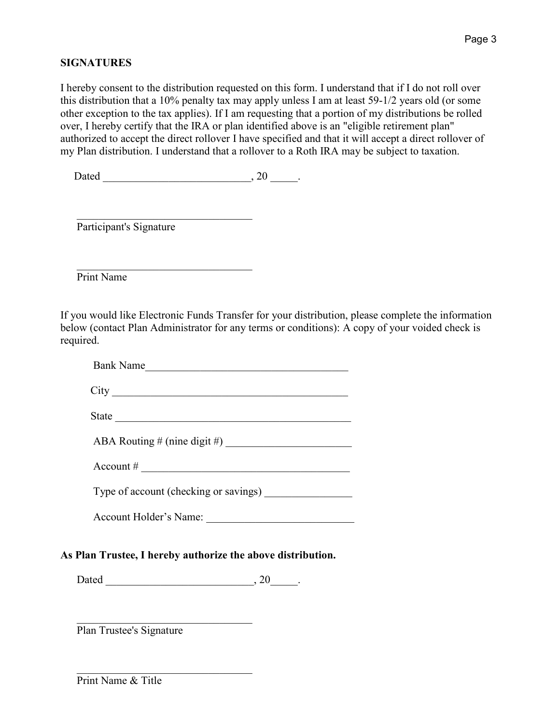## **SIGNATURES**

I hereby consent to the distribution requested on this form. I understand that if I do not roll over this distribution that a 10% penalty tax may apply unless I am at least 59-1/2 years old (or some other exception to the tax applies). If I am requesting that a portion of my distributions be rolled over, I hereby certify that the IRA or plan identified above is an "eligible retirement plan" authorized to accept the direct rollover I have specified and that it will accept a direct rollover of my Plan distribution. I understand that a rollover to a Roth IRA may be subject to taxation.

 $Dated$ ,  $20$ 

Participant's Signature

\_\_\_\_\_\_\_\_\_\_\_\_\_\_\_\_\_\_\_\_\_\_\_\_\_\_\_\_\_\_\_\_

 \_\_\_\_\_\_\_\_\_\_\_\_\_\_\_\_\_\_\_\_\_\_\_\_\_\_\_\_\_\_\_\_ Print Name

If you would like Electronic Funds Transfer for your distribution, please complete the information below (contact Plan Administrator for any terms or conditions): A copy of your voided check is required.

| $\text{Account} \#$                   |
|---------------------------------------|
| Type of account (checking or savings) |
| Account Holder's Name:                |

 $Dated$ ,  $20$ 

Plan Trustee's Signature

\_\_\_\_\_\_\_\_\_\_\_\_\_\_\_\_\_\_\_\_\_\_\_\_\_\_\_\_\_\_\_\_

Print Name & Title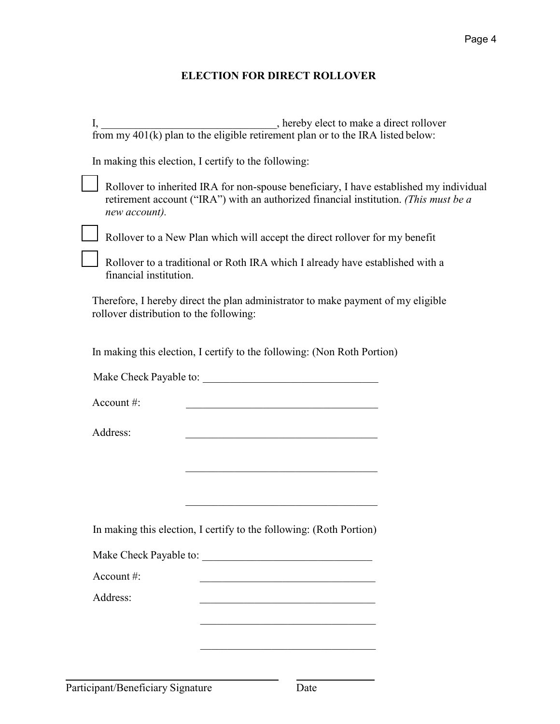## **ELECTION FOR DIRECT ROLLOVER**

| I, $\frac{1}{100}$ , hereby elect to make a direct rollover from my 401(k) plan to the eligible retirement plan or to the IRA listed below:                                                     |  |
|-------------------------------------------------------------------------------------------------------------------------------------------------------------------------------------------------|--|
| In making this election, I certify to the following:                                                                                                                                            |  |
| Rollover to inherited IRA for non-spouse beneficiary, I have established my individual<br>retirement account ("IRA") with an authorized financial institution. (This must be a<br>new account). |  |
| Rollover to a New Plan which will accept the direct rollover for my benefit                                                                                                                     |  |
| Rollover to a traditional or Roth IRA which I already have established with a<br>financial institution.                                                                                         |  |
| Therefore, I hereby direct the plan administrator to make payment of my eligible<br>rollover distribution to the following:                                                                     |  |
| In making this election, I certify to the following: (Non Roth Portion)                                                                                                                         |  |
|                                                                                                                                                                                                 |  |
| Account#:                                                                                                                                                                                       |  |
| Address:<br>the control of the control of the control of the control of the control of                                                                                                          |  |
|                                                                                                                                                                                                 |  |
|                                                                                                                                                                                                 |  |
|                                                                                                                                                                                                 |  |
| In making this election, I certify to the following: (Roth Portion)                                                                                                                             |  |
|                                                                                                                                                                                                 |  |
| Account#:                                                                                                                                                                                       |  |
| Address:<br><u> 1989 - Johann John Stoff, market fransk kanton (d. 1989)</u>                                                                                                                    |  |
| <u> 1989 - Johann John Stoff, mars and de Brasilian (b. 1989)</u>                                                                                                                               |  |
|                                                                                                                                                                                                 |  |
|                                                                                                                                                                                                 |  |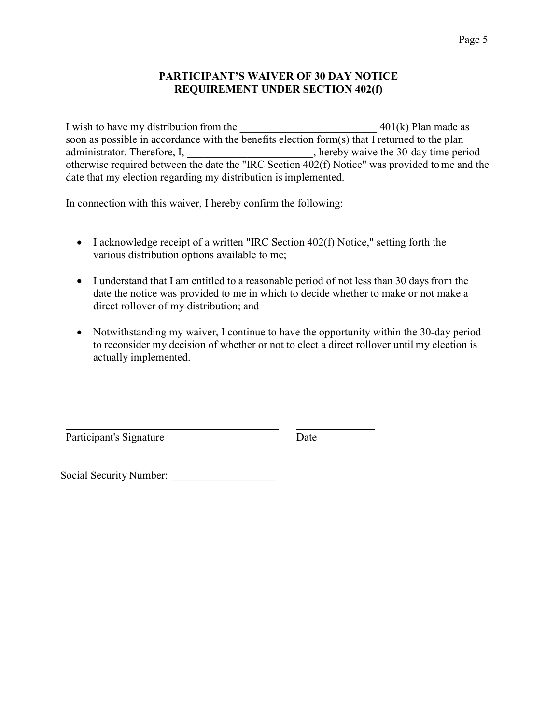#### **PARTICIPANT'S WAIVER OF 30 DAY NOTICE REQUIREMENT UNDER SECTION 402(f)**

I wish to have my distribution from the  $401(k)$  Plan made as soon as possible in accordance with the benefits election form(s) that I returned to the plan administrator. Therefore, I, hereby waive the 30-day time period otherwise required between the date the "IRC Section 402(f) Notice" was provided tome and the date that my election regarding my distribution is implemented.

In connection with this waiver, I hereby confirm the following:

- I acknowledge receipt of a written "IRC Section 402(f) Notice," setting forth the various distribution options available to me;
- I understand that I am entitled to a reasonable period of not less than 30 days from the date the notice was provided to me in which to decide whether to make or not make a direct rollover of my distribution; and
- Notwithstanding my waiver, I continue to have the opportunity within the 30-day period to reconsider my decision of whether or not to elect a direct rollover until my election is actually implemented.

Participant's Signature Date

Social Security Number: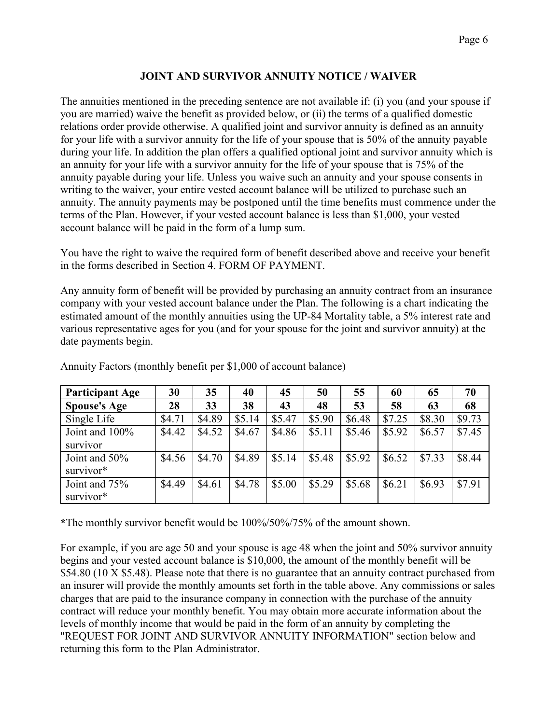## **JOINT AND SURVIVOR ANNUITY NOTICE / WAIVER**

The annuities mentioned in the preceding sentence are not available if: (i) you (and your spouse if you are married) waive the benefit as provided below, or (ii) the terms of a qualified domestic relations order provide otherwise. A qualified joint and survivor annuity is defined as an annuity for your life with a survivor annuity for the life of your spouse that is 50% of the annuity payable during your life. In addition the plan offers a qualified optional joint and survivor annuity which is an annuity for your life with a survivor annuity for the life of your spouse that is 75% of the annuity payable during your life. Unless you waive such an annuity and your spouse consents in writing to the waiver, your entire vested account balance will be utilized to purchase such an annuity. The annuity payments may be postponed until the time benefits must commence under the terms of the Plan. However, if your vested account balance is less than \$1,000, your vested account balance will be paid in the form of a lump sum.

You have the right to waive the required form of benefit described above and receive your benefit in the forms described in Section 4. FORM OF PAYMENT.

Any annuity form of benefit will be provided by purchasing an annuity contract from an insurance company with your vested account balance under the Plan. The following is a chart indicating the estimated amount of the monthly annuities using the UP-84 Mortality table, a 5% interest rate and various representative ages for you (and for your spouse for the joint and survivor annuity) at the date payments begin.

| <b>Participant Age</b> | 30     | 35     | 40     | 45     | 50     | 55     | 60     | 65     | 70     |
|------------------------|--------|--------|--------|--------|--------|--------|--------|--------|--------|
| <b>Spouse's Age</b>    | 28     | 33     | 38     | 43     | 48     | 53     | 58     | 63     | 68     |
| Single Life            | \$4.71 | \$4.89 | \$5.14 | \$5.47 | \$5.90 | \$6.48 | \$7.25 | \$8.30 | \$9.73 |
| Joint and 100%         | \$4.42 | \$4.52 | \$4.67 | \$4.86 | \$5.11 | \$5.46 | \$5.92 | \$6.57 | \$7.45 |
| survivor               |        |        |        |        |        |        |        |        |        |
| Joint and 50%          | \$4.56 | \$4.70 | \$4.89 | \$5.14 | \$5.48 | \$5.92 | \$6.52 | \$7.33 | \$8.44 |
| survivor*              |        |        |        |        |        |        |        |        |        |
| Joint and 75%          | \$4.49 | \$4.61 | \$4.78 | \$5.00 | \$5.29 | \$5.68 | \$6.21 | \$6.93 | \$7.91 |
| survivor*              |        |        |        |        |        |        |        |        |        |

Annuity Factors (monthly benefit per \$1,000 of account balance)

**\***The monthly survivor benefit would be 100%/50%/75% of the amount shown.

For example, if you are age 50 and your spouse is age 48 when the joint and 50% survivor annuity begins and your vested account balance is \$10,000, the amount of the monthly benefit will be \$54.80 (10 X \$5.48). Please note that there is no guarantee that an annuity contract purchased from an insurer will provide the monthly amounts set forth in the table above. Any commissions or sales charges that are paid to the insurance company in connection with the purchase of the annuity contract will reduce your monthly benefit. You may obtain more accurate information about the levels of monthly income that would be paid in the form of an annuity by completing the "REQUEST FOR JOINT AND SURVIVOR ANNUITY INFORMATION" section below and returning this form to the Plan Administrator.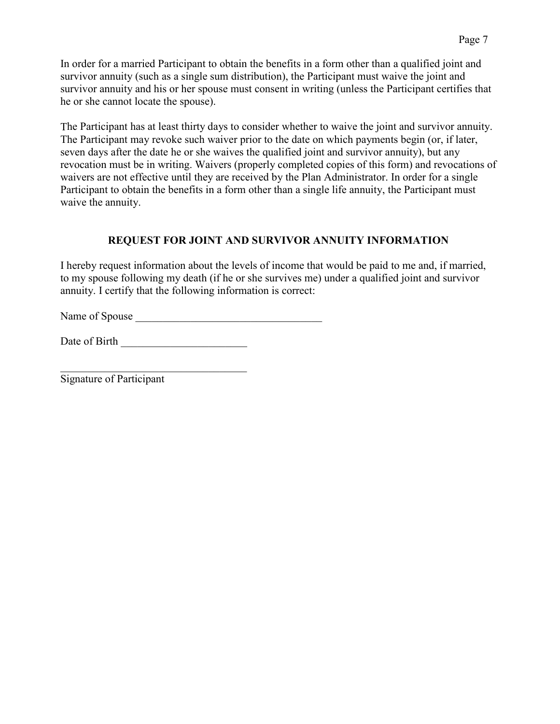In order for a married Participant to obtain the benefits in a form other than a qualified joint and survivor annuity (such as a single sum distribution), the Participant must waive the joint and survivor annuity and his or her spouse must consent in writing (unless the Participant certifies that he or she cannot locate the spouse).

The Participant has at least thirty days to consider whether to waive the joint and survivor annuity. The Participant may revoke such waiver prior to the date on which payments begin (or, if later, seven days after the date he or she waives the qualified joint and survivor annuity), but any revocation must be in writing. Waivers (properly completed copies of this form) and revocations of waivers are not effective until they are received by the Plan Administrator. In order for a single Participant to obtain the benefits in a form other than a single life annuity, the Participant must waive the annuity.

## **REQUEST FOR JOINT AND SURVIVOR ANNUITY INFORMATION**

I hereby request information about the levels of income that would be paid to me and, if married, to my spouse following my death (if he or she survives me) under a qualified joint and survivor annuity. I certify that the following information is correct:

Name of Spouse

Date of Birth **Exercise 20** 

Signature of Participant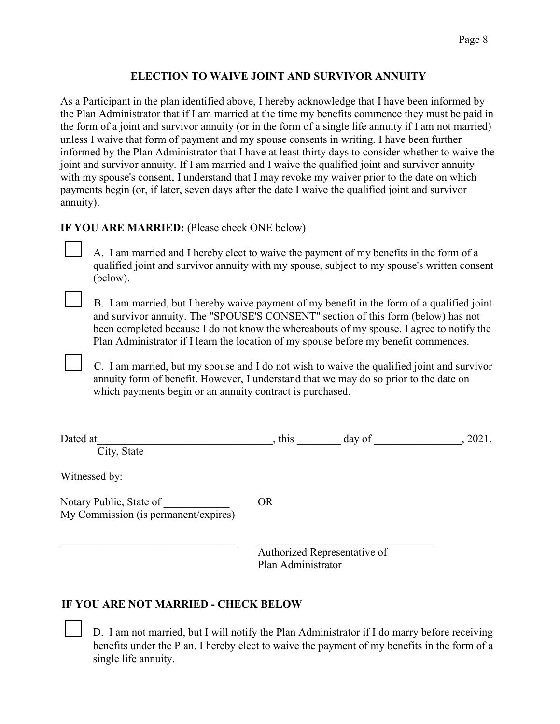## **ELECTION TO WAIVE JOINT AND SURVIVOR ANNUITY**

As a Participant in the plan identified above, I hereby acknowledge that I have been informed by the Plan Administrator that if I am married at the time my benefits commence they must be paid in the form of a joint and survivor annuity (or in the form of a single life annuity if I am not married) unless I waive that form of payment and my spouse consents in writing. I have been further informed by the Plan Administrator that I have at least thirty days to consider whether to waive the joint and survivor annuity. If I am married and I waive the qualified joint and survivor annuity with my spouse's consent, I understand that I may revoke my waiver prior to the date on which payments begin (or, if later, seven days after the date I waive the qualified joint and survivor annuity).

### **IF YOU ARE MARRIED:** (Please check ONE below)

A. I am married and I hereby elect to waive the payment of my benefits in the form of a qualified joint and survivor annuity with my spouse, subject to my spouse's written consent (below).

B. I am married, but I hereby waive payment of my benefit in the form of a qualified joint and survivor annuity. The "SPOUSE'S CONSENT" section of this form (below) has not been completed because I do not know the whereabouts of my spouse. I agree to notify the Plan Administrator if I learn the location of my spouse before my benefit commences.

C. I am married, but my spouse and I do not wish to waive the qualified joint and survivor annuity form of benefit. However, I understand that we may do so prior to the date on which payments begin or an annuity contract is purchased.

| Dated at                                                        | , this             | day of                       | , 2021. |
|-----------------------------------------------------------------|--------------------|------------------------------|---------|
| City, State                                                     |                    |                              |         |
| Witnessed by:                                                   |                    |                              |         |
| Notary Public, State of<br>My Commission (is permanent/expires) | <b>OR</b>          |                              |         |
|                                                                 | Plan Administrator | Authorized Representative of |         |

## **IF YOU ARE NOT MARRIED - CHECK BELOW**

D. I am not married, but I will notify the Plan Administrator if I do marry before receiving benefits under the Plan. I hereby elect to waive the payment of my benefits in the form of a single life annuity.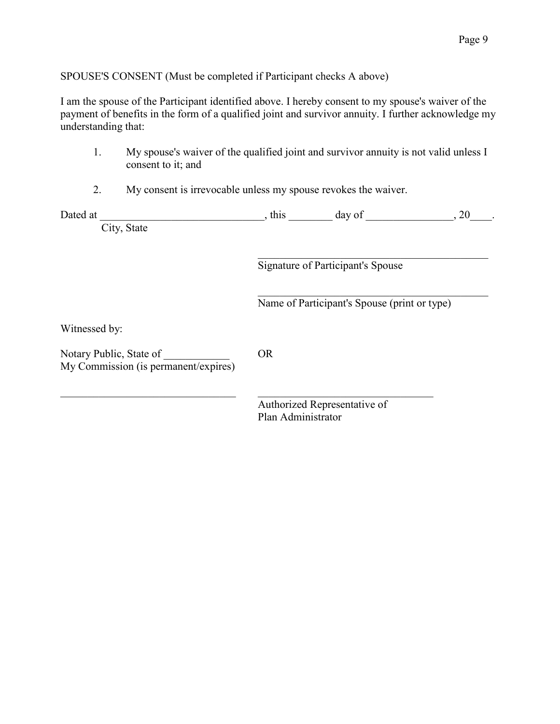SPOUSE'S CONSENT (Must be completed if Participant checks A above)

I am the spouse of the Participant identified above. I hereby consent to my spouse's waiver of the payment of benefits in the form of a qualified joint and survivor annuity. I further acknowledge my understanding that:

| My spouse's waiver of the qualified joint and survivor annuity is not valid unless I |
|--------------------------------------------------------------------------------------|
| consent to it; and                                                                   |

2. My consent is irrevocable unless my spouse revokes the waiver.

| Dated at |             | this | day of | $\angle U$ |  |
|----------|-------------|------|--------|------------|--|
|          | City, State |      |        |            |  |

 $\overline{\mathcal{L}}$  , and the contribution of the contribution of  $\overline{\mathcal{L}}$ Signature of Participant's Spouse

Name of Participant's Spouse (print or type)

 $\mathcal{L}_\mathcal{L} = \mathcal{L}_\mathcal{L} = \mathcal{L}_\mathcal{L} = \mathcal{L}_\mathcal{L} = \mathcal{L}_\mathcal{L} = \mathcal{L}_\mathcal{L} = \mathcal{L}_\mathcal{L} = \mathcal{L}_\mathcal{L} = \mathcal{L}_\mathcal{L} = \mathcal{L}_\mathcal{L} = \mathcal{L}_\mathcal{L} = \mathcal{L}_\mathcal{L} = \mathcal{L}_\mathcal{L} = \mathcal{L}_\mathcal{L} = \mathcal{L}_\mathcal{L} = \mathcal{L}_\mathcal{L} = \mathcal{L}_\mathcal{L}$ 

Witnessed by:

Notary Public, State of **OR** My Commission (is permanent/expires)

 $\_$ Authorized Representative of Plan Administrator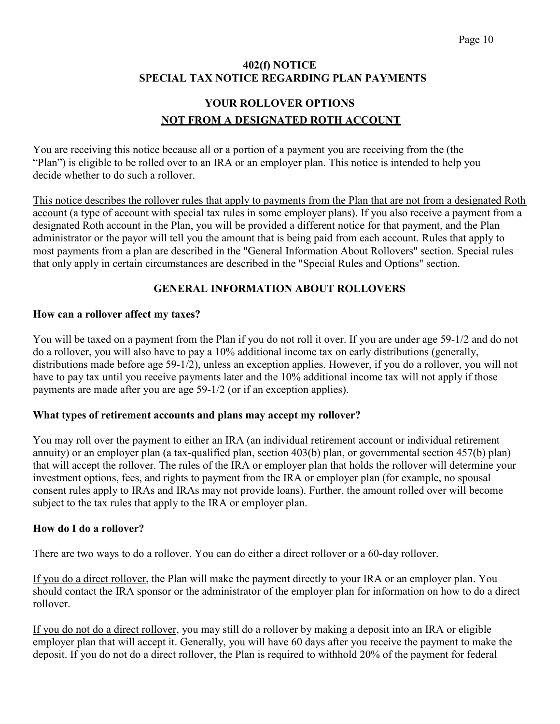### **402(f) NOTICE SPECIAL TAX NOTICE REGARDING PLAN PAYMENTS**

## **YOUR ROLLOVER OPTIONS NOT FROM A DESIGNATED ROTH ACCOUNT**

You are receiving this notice because all or a portion of a payment you are receiving from the (the "Plan") is eligible to be rolled over to an IRA or an employer plan. This notice is intended to help you decide whether to do such a rollover.

This notice describes the rollover rules that apply to payments from the Plan that are not from a designated Roth account (a type of account with special tax rules in some employer plans). If you also receive a payment from a designated Roth account in the Plan, you will be provided a different notice for that payment, and the Plan administrator or the payor will tell you the amount that is being paid from each account. Rules that apply to most payments from a plan are described in the "General Information About Rollovers" section. Special rules that only apply in certain circumstances are described in the "Special Rules and Options" section.

## **GENERAL INFORMATION ABOUT ROLLOVERS**

### **How can a rollover affect my taxes?**

You will be taxed on a payment from the Plan if you do not roll it over. If you are under age 59-1/2 and do not do a rollover, you will also have to pay a 10% additional income tax on early distributions (generally, distributions made before age 59-1/2), unless an exception applies. However, if you do a rollover, you will not have to pay tax until you receive payments later and the 10% additional income tax will not apply if those payments are made after you are age 59-1/2 (or if an exception applies).

## **What types of retirement accounts and plans may accept my rollover?**

You may roll over the payment to either an IRA (an individual retirement account or individual retirement annuity) or an employer plan (a tax-qualified plan, section 403(b) plan, or governmental section 457(b) plan) that will accept the rollover. The rules of the IRA or employer plan that holds the rollover will determine your investment options, fees, and rights to payment from the IRA or employer plan (for example, no spousal consent rules apply to IRAs and IRAs may not provide loans). Further, the amount rolled over will become subject to the tax rules that apply to the IRA or employer plan.

#### **How do I do a rollover?**

There are two ways to do a rollover. You can do either a direct rollover or a 60-day rollover.

If you do a direct rollover, the Plan will make the payment directly to your IRA or an employer plan. You should contact the IRA sponsor or the administrator of the employer plan for information on how to do a direct rollover.

If you do not do a direct rollover, you may still do a rollover by making a deposit into an IRA or eligible employer plan that will accept it. Generally, you will have 60 days after you receive the payment to make the deposit. If you do not do a direct rollover, the Plan is required to withhold 20% of the payment for federal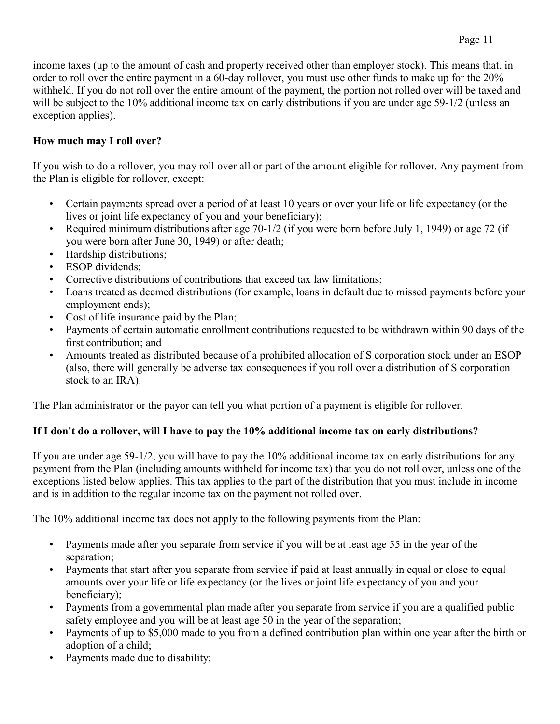income taxes (up to the amount of cash and property received other than employer stock). This means that, in order to roll over the entire payment in a 60-day rollover, you must use other funds to make up for the 20% withheld. If you do not roll over the entire amount of the payment, the portion not rolled over will be taxed and will be subject to the 10% additional income tax on early distributions if you are under age 59-1/2 (unless an exception applies).

## **How much may I roll over?**

If you wish to do a rollover, you may roll over all or part of the amount eligible for rollover. Any payment from the Plan is eligible for rollover, except:

- Certain payments spread over a period of at least 10 years or over your life or life expectancy (or the lives or joint life expectancy of you and your beneficiary);
- Required minimum distributions after age 70-1/2 (if you were born before July 1, 1949) or age 72 (if you were born after June 30, 1949) or after death;
- Hardship distributions;
- **ESOP** dividends:
- Corrective distributions of contributions that exceed tax law limitations;
- Loans treated as deemed distributions (for example, loans in default due to missed payments before your employment ends);
- Cost of life insurance paid by the Plan;
- Payments of certain automatic enrollment contributions requested to be withdrawn within 90 days of the first contribution; and
- Amounts treated as distributed because of a prohibited allocation of S corporation stock under an ESOP (also, there will generally be adverse tax consequences if you roll over a distribution of S corporation stock to an IRA).

The Plan administrator or the payor can tell you what portion of a payment is eligible for rollover.

## **If I don't do a rollover, will I have to pay the 10% additional income tax on early distributions?**

If you are under age 59-1/2, you will have to pay the 10% additional income tax on early distributions for any payment from the Plan (including amounts withheld for income tax) that you do not roll over, unless one of the exceptions listed below applies. This tax applies to the part of the distribution that you must include in income and is in addition to the regular income tax on the payment not rolled over.

The 10% additional income tax does not apply to the following payments from the Plan:

- Payments made after you separate from service if you will be at least age 55 in the year of the separation;
- Payments that start after you separate from service if paid at least annually in equal or close to equal amounts over your life or life expectancy (or the lives or joint life expectancy of you and your beneficiary);
- Payments from a governmental plan made after you separate from service if you are a qualified public safety employee and you will be at least age 50 in the year of the separation;
- Payments of up to \$5,000 made to you from a defined contribution plan within one year after the birth or adoption of a child;
- Payments made due to disability;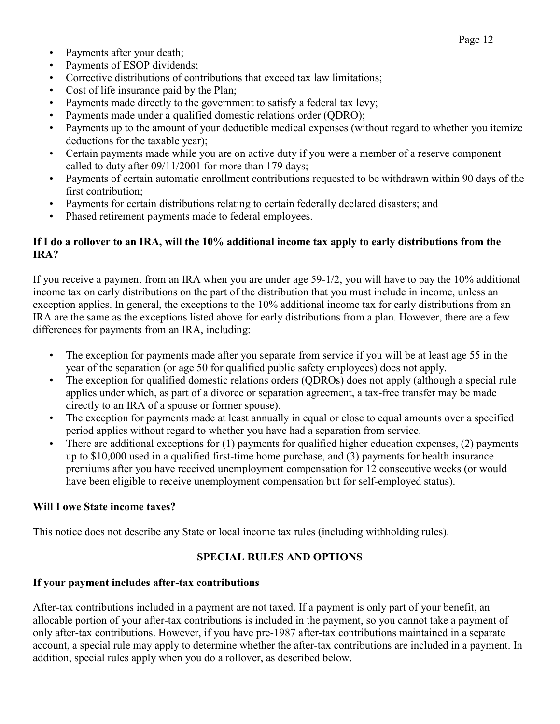- Payments after your death;
- Payments of ESOP dividends;
- Corrective distributions of contributions that exceed tax law limitations;
- Cost of life insurance paid by the Plan;
- Payments made directly to the government to satisfy a federal tax levy;
- Payments made under a qualified domestic relations order (QDRO);
- Payments up to the amount of your deductible medical expenses (without regard to whether you itemize deductions for the taxable year);
- Certain payments made while you are on active duty if you were a member of a reserve component called to duty after 09/11/2001 for more than 179 days;
- Payments of certain automatic enrollment contributions requested to be withdrawn within 90 days of the first contribution;
- Payments for certain distributions relating to certain federally declared disasters; and
- Phased retirement payments made to federal employees.

## **If I do a rollover to an IRA, will the 10% additional income tax apply to early distributions from the IRA?**

If you receive a payment from an IRA when you are under age 59-1/2, you will have to pay the 10% additional income tax on early distributions on the part of the distribution that you must include in income, unless an exception applies. In general, the exceptions to the 10% additional income tax for early distributions from an IRA are the same as the exceptions listed above for early distributions from a plan. However, there are a few differences for payments from an IRA, including:

- The exception for payments made after you separate from service if you will be at least age 55 in the year of the separation (or age 50 for qualified public safety employees) does not apply.
- The exception for qualified domestic relations orders (QDROs) does not apply (although a special rule applies under which, as part of a divorce or separation agreement, a tax-free transfer may be made directly to an IRA of a spouse or former spouse).
- The exception for payments made at least annually in equal or close to equal amounts over a specified period applies without regard to whether you have had a separation from service.
- There are additional exceptions for (1) payments for qualified higher education expenses, (2) payments up to \$10,000 used in a qualified first-time home purchase, and (3) payments for health insurance premiums after you have received unemployment compensation for 12 consecutive weeks (or would have been eligible to receive unemployment compensation but for self-employed status).

## **Will I owe State income taxes?**

This notice does not describe any State or local income tax rules (including withholding rules).

## **SPECIAL RULES AND OPTIONS**

## **If your payment includes after-tax contributions**

After-tax contributions included in a payment are not taxed. If a payment is only part of your benefit, an allocable portion of your after-tax contributions is included in the payment, so you cannot take a payment of only after-tax contributions. However, if you have pre-1987 after-tax contributions maintained in a separate account, a special rule may apply to determine whether the after-tax contributions are included in a payment. In addition, special rules apply when you do a rollover, as described below.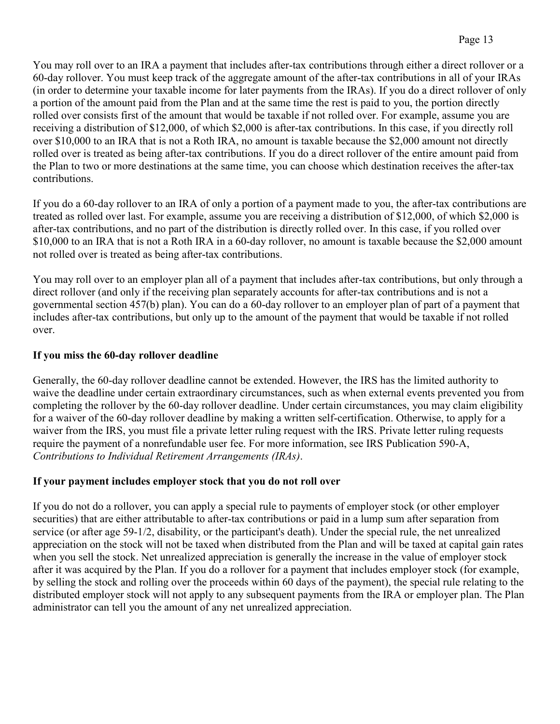You may roll over to an IRA a payment that includes after-tax contributions through either a direct rollover or a 60-day rollover. You must keep track of the aggregate amount of the after-tax contributions in all of your IRAs (in order to determine your taxable income for later payments from the IRAs). If you do a direct rollover of only a portion of the amount paid from the Plan and at the same time the rest is paid to you, the portion directly rolled over consists first of the amount that would be taxable if not rolled over. For example, assume you are receiving a distribution of \$12,000, of which \$2,000 is after-tax contributions. In this case, if you directly roll over \$10,000 to an IRA that is not a Roth IRA, no amount is taxable because the \$2,000 amount not directly rolled over is treated as being after-tax contributions. If you do a direct rollover of the entire amount paid from the Plan to two or more destinations at the same time, you can choose which destination receives the after-tax contributions.

If you do a 60-day rollover to an IRA of only a portion of a payment made to you, the after-tax contributions are treated as rolled over last. For example, assume you are receiving a distribution of \$12,000, of which \$2,000 is after-tax contributions, and no part of the distribution is directly rolled over. In this case, if you rolled over \$10,000 to an IRA that is not a Roth IRA in a 60-day rollover, no amount is taxable because the \$2,000 amount not rolled over is treated as being after-tax contributions.

You may roll over to an employer plan all of a payment that includes after-tax contributions, but only through a direct rollover (and only if the receiving plan separately accounts for after-tax contributions and is not a governmental section 457(b) plan). You can do a 60-day rollover to an employer plan of part of a payment that includes after-tax contributions, but only up to the amount of the payment that would be taxable if not rolled over.

## **If you miss the 60-day rollover deadline**

Generally, the 60-day rollover deadline cannot be extended. However, the IRS has the limited authority to waive the deadline under certain extraordinary circumstances, such as when external events prevented you from completing the rollover by the 60-day rollover deadline. Under certain circumstances, you may claim eligibility for a waiver of the 60-day rollover deadline by making a written self-certification. Otherwise, to apply for a waiver from the IRS, you must file a private letter ruling request with the IRS. Private letter ruling requests require the payment of a nonrefundable user fee. For more information, see IRS Publication 590-A, *Contributions to Individual Retirement Arrangements (IRAs)*.

## **If your payment includes employer stock that you do not roll over**

If you do not do a rollover, you can apply a special rule to payments of employer stock (or other employer securities) that are either attributable to after-tax contributions or paid in a lump sum after separation from service (or after age 59-1/2, disability, or the participant's death). Under the special rule, the net unrealized appreciation on the stock will not be taxed when distributed from the Plan and will be taxed at capital gain rates when you sell the stock. Net unrealized appreciation is generally the increase in the value of employer stock after it was acquired by the Plan. If you do a rollover for a payment that includes employer stock (for example, by selling the stock and rolling over the proceeds within 60 days of the payment), the special rule relating to the distributed employer stock will not apply to any subsequent payments from the IRA or employer plan. The Plan administrator can tell you the amount of any net unrealized appreciation.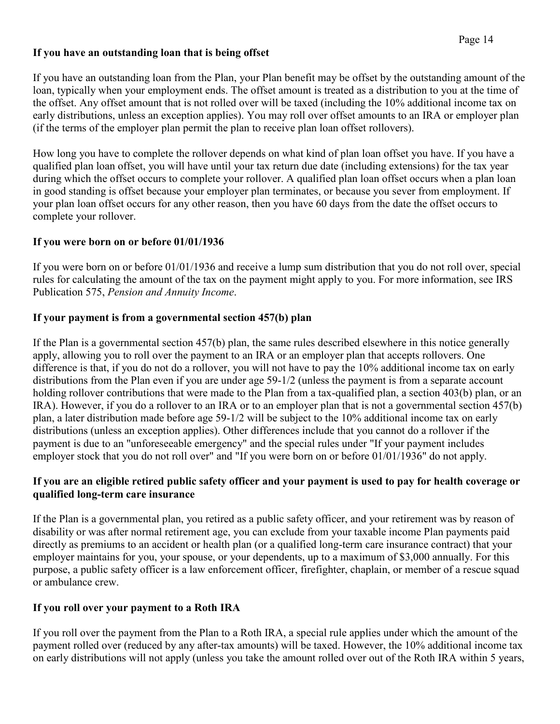## **If you have an outstanding loan that is being offset**

If you have an outstanding loan from the Plan, your Plan benefit may be offset by the outstanding amount of the loan, typically when your employment ends. The offset amount is treated as a distribution to you at the time of the offset. Any offset amount that is not rolled over will be taxed (including the 10% additional income tax on early distributions, unless an exception applies). You may roll over offset amounts to an IRA or employer plan (if the terms of the employer plan permit the plan to receive plan loan offset rollovers).

How long you have to complete the rollover depends on what kind of plan loan offset you have. If you have a qualified plan loan offset, you will have until your tax return due date (including extensions) for the tax year during which the offset occurs to complete your rollover. A qualified plan loan offset occurs when a plan loan in good standing is offset because your employer plan terminates, or because you sever from employment. If your plan loan offset occurs for any other reason, then you have 60 days from the date the offset occurs to complete your rollover.

### **If you were born on or before 01/01/1936**

If you were born on or before 01/01/1936 and receive a lump sum distribution that you do not roll over, special rules for calculating the amount of the tax on the payment might apply to you. For more information, see IRS Publication 575, *Pension and Annuity Income*.

### **If your payment is from a governmental section 457(b) plan**

If the Plan is a governmental section 457(b) plan, the same rules described elsewhere in this notice generally apply, allowing you to roll over the payment to an IRA or an employer plan that accepts rollovers. One difference is that, if you do not do a rollover, you will not have to pay the 10% additional income tax on early distributions from the Plan even if you are under age 59-1/2 (unless the payment is from a separate account holding rollover contributions that were made to the Plan from a tax-qualified plan, a section 403(b) plan, or an IRA). However, if you do a rollover to an IRA or to an employer plan that is not a governmental section 457(b) plan, a later distribution made before age 59-1/2 will be subject to the 10% additional income tax on early distributions (unless an exception applies). Other differences include that you cannot do a rollover if the payment is due to an "unforeseeable emergency" and the special rules under "If your payment includes employer stock that you do not roll over" and "If you were born on or before 01/01/1936" do not apply.

### **If you are an eligible retired public safety officer and your payment is used to pay for health coverage or qualified long-term care insurance**

If the Plan is a governmental plan, you retired as a public safety officer, and your retirement was by reason of disability or was after normal retirement age, you can exclude from your taxable income Plan payments paid directly as premiums to an accident or health plan (or a qualified long-term care insurance contract) that your employer maintains for you, your spouse, or your dependents, up to a maximum of \$3,000 annually. For this purpose, a public safety officer is a law enforcement officer, firefighter, chaplain, or member of a rescue squad or ambulance crew.

## **If you roll over your payment to a Roth IRA**

If you roll over the payment from the Plan to a Roth IRA, a special rule applies under which the amount of the payment rolled over (reduced by any after-tax amounts) will be taxed. However, the 10% additional income tax on early distributions will not apply (unless you take the amount rolled over out of the Roth IRA within 5 years,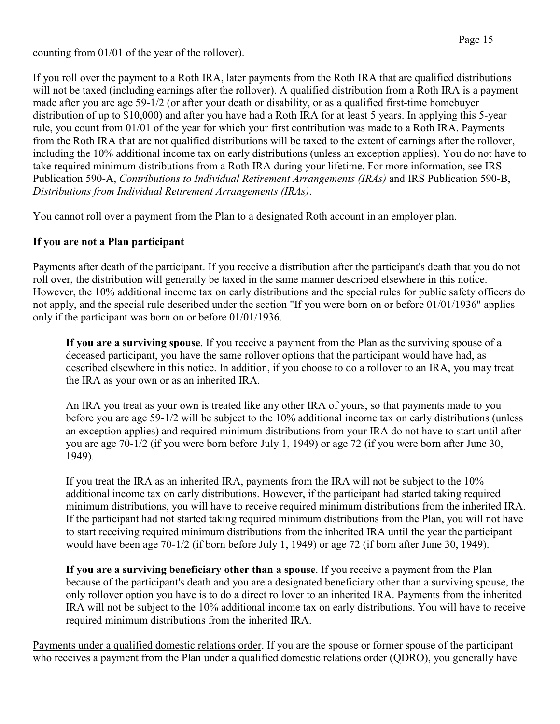counting from 01/01 of the year of the rollover).

If you roll over the payment to a Roth IRA, later payments from the Roth IRA that are qualified distributions will not be taxed (including earnings after the rollover). A qualified distribution from a Roth IRA is a payment made after you are age 59-1/2 (or after your death or disability, or as a qualified first-time homebuyer distribution of up to \$10,000) and after you have had a Roth IRA for at least 5 years. In applying this 5-year rule, you count from 01/01 of the year for which your first contribution was made to a Roth IRA. Payments from the Roth IRA that are not qualified distributions will be taxed to the extent of earnings after the rollover, including the 10% additional income tax on early distributions (unless an exception applies). You do not have to take required minimum distributions from a Roth IRA during your lifetime. For more information, see IRS Publication 590-A, *Contributions to Individual Retirement Arrangements (IRAs)* and IRS Publication 590-B, *Distributions from Individual Retirement Arrangements (IRAs)*.

You cannot roll over a payment from the Plan to a designated Roth account in an employer plan.

## **If you are not a Plan participant**

Payments after death of the participant. If you receive a distribution after the participant's death that you do not roll over, the distribution will generally be taxed in the same manner described elsewhere in this notice. However, the 10% additional income tax on early distributions and the special rules for public safety officers do not apply, and the special rule described under the section "If you were born on or before 01/01/1936" applies only if the participant was born on or before 01/01/1936.

**If you are a surviving spouse**. If you receive a payment from the Plan as the surviving spouse of a deceased participant, you have the same rollover options that the participant would have had, as described elsewhere in this notice. In addition, if you choose to do a rollover to an IRA, you may treat the IRA as your own or as an inherited IRA.

An IRA you treat as your own is treated like any other IRA of yours, so that payments made to you before you are age 59-1/2 will be subject to the 10% additional income tax on early distributions (unless an exception applies) and required minimum distributions from your IRA do not have to start until after you are age 70-1/2 (if you were born before July 1, 1949) or age 72 (if you were born after June 30, 1949).

If you treat the IRA as an inherited IRA, payments from the IRA will not be subject to the 10% additional income tax on early distributions. However, if the participant had started taking required minimum distributions, you will have to receive required minimum distributions from the inherited IRA. If the participant had not started taking required minimum distributions from the Plan, you will not have to start receiving required minimum distributions from the inherited IRA until the year the participant would have been age 70-1/2 (if born before July 1, 1949) or age 72 (if born after June 30, 1949).

**If you are a surviving beneficiary other than a spouse**. If you receive a payment from the Plan because of the participant's death and you are a designated beneficiary other than a surviving spouse, the only rollover option you have is to do a direct rollover to an inherited IRA. Payments from the inherited IRA will not be subject to the 10% additional income tax on early distributions. You will have to receive required minimum distributions from the inherited IRA.

Payments under a qualified domestic relations order. If you are the spouse or former spouse of the participant who receives a payment from the Plan under a qualified domestic relations order (QDRO), you generally have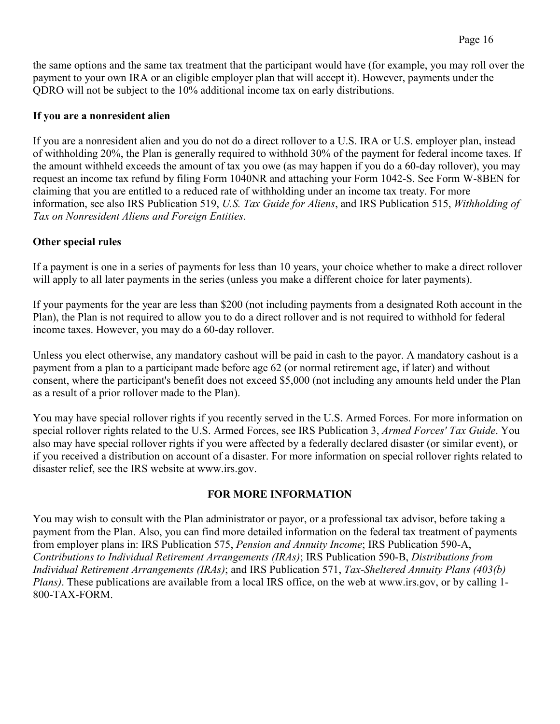the same options and the same tax treatment that the participant would have (for example, you may roll over the payment to your own IRA or an eligible employer plan that will accept it). However, payments under the QDRO will not be subject to the 10% additional income tax on early distributions.

## **If you are a nonresident alien**

If you are a nonresident alien and you do not do a direct rollover to a U.S. IRA or U.S. employer plan, instead of withholding 20%, the Plan is generally required to withhold 30% of the payment for federal income taxes. If the amount withheld exceeds the amount of tax you owe (as may happen if you do a 60-day rollover), you may request an income tax refund by filing Form 1040NR and attaching your Form 1042-S. See Form W-8BEN for claiming that you are entitled to a reduced rate of withholding under an income tax treaty. For more information, see also IRS Publication 519, *U.S. Tax Guide for Aliens*, and IRS Publication 515, *Withholding of Tax on Nonresident Aliens and Foreign Entities*.

## **Other special rules**

If a payment is one in a series of payments for less than 10 years, your choice whether to make a direct rollover will apply to all later payments in the series (unless you make a different choice for later payments).

If your payments for the year are less than \$200 (not including payments from a designated Roth account in the Plan), the Plan is not required to allow you to do a direct rollover and is not required to withhold for federal income taxes. However, you may do a 60-day rollover.

Unless you elect otherwise, any mandatory cashout will be paid in cash to the payor. A mandatory cashout is a payment from a plan to a participant made before age 62 (or normal retirement age, if later) and without consent, where the participant's benefit does not exceed \$5,000 (not including any amounts held under the Plan as a result of a prior rollover made to the Plan).

You may have special rollover rights if you recently served in the U.S. Armed Forces. For more information on special rollover rights related to the U.S. Armed Forces, see IRS Publication 3, *Armed Forces' Tax Guide*. You also may have special rollover rights if you were affected by a federally declared disaster (or similar event), or if you received a distribution on account of a disaster. For more information on special rollover rights related to disaster relief, see the IRS website at www.irs.gov.

## **FOR MORE INFORMATION**

You may wish to consult with the Plan administrator or payor, or a professional tax advisor, before taking a payment from the Plan. Also, you can find more detailed information on the federal tax treatment of payments from employer plans in: IRS Publication 575, *Pension and Annuity Income*; IRS Publication 590-A, *Contributions to Individual Retirement Arrangements (IRAs)*; IRS Publication 590-B, *Distributions from Individual Retirement Arrangements (IRAs)*; and IRS Publication 571, *Tax-Sheltered Annuity Plans (403(b) Plans)*. These publications are available from a local IRS office, on the web at www.irs.gov, or by calling 1- 800-TAX-FORM.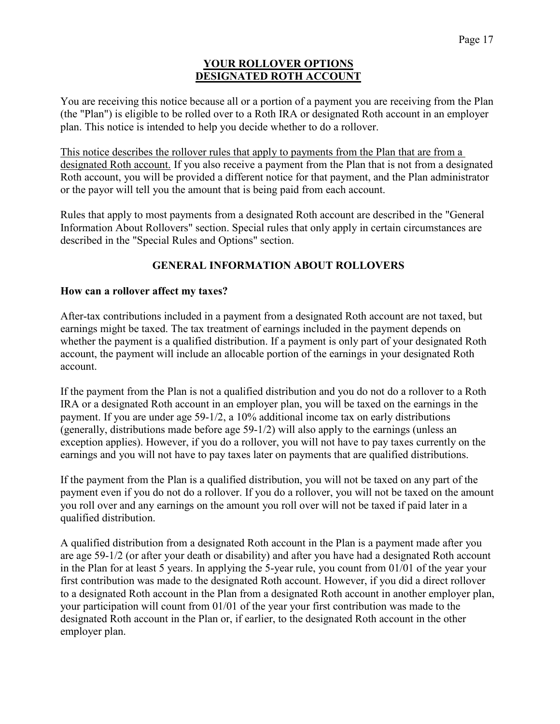#### **YOUR ROLLOVER OPTIONS DESIGNATED ROTH ACCOUNT**

You are receiving this notice because all or a portion of a payment you are receiving from the Plan (the "Plan") is eligible to be rolled over to a Roth IRA or designated Roth account in an employer plan. This notice is intended to help you decide whether to do a rollover.

This notice describes the rollover rules that apply to payments from the Plan that are from a designated Roth account. If you also receive a payment from the Plan that is not from a designated Roth account, you will be provided a different notice for that payment, and the Plan administrator or the payor will tell you the amount that is being paid from each account.

Rules that apply to most payments from a designated Roth account are described in the "General Information About Rollovers" section. Special rules that only apply in certain circumstances are described in the "Special Rules and Options" section.

## **GENERAL INFORMATION ABOUT ROLLOVERS**

## **How can a rollover affect my taxes?**

After-tax contributions included in a payment from a designated Roth account are not taxed, but earnings might be taxed. The tax treatment of earnings included in the payment depends on whether the payment is a qualified distribution. If a payment is only part of your designated Roth account, the payment will include an allocable portion of the earnings in your designated Roth account.

If the payment from the Plan is not a qualified distribution and you do not do a rollover to a Roth IRA or a designated Roth account in an employer plan, you will be taxed on the earnings in the payment. If you are under age 59-1/2, a 10% additional income tax on early distributions (generally, distributions made before age 59-1/2) will also apply to the earnings (unless an exception applies). However, if you do a rollover, you will not have to pay taxes currently on the earnings and you will not have to pay taxes later on payments that are qualified distributions.

If the payment from the Plan is a qualified distribution, you will not be taxed on any part of the payment even if you do not do a rollover. If you do a rollover, you will not be taxed on the amount you roll over and any earnings on the amount you roll over will not be taxed if paid later in a qualified distribution.

A qualified distribution from a designated Roth account in the Plan is a payment made after you are age 59-1/2 (or after your death or disability) and after you have had a designated Roth account in the Plan for at least 5 years. In applying the 5-year rule, you count from 01/01 of the year your first contribution was made to the designated Roth account. However, if you did a direct rollover to a designated Roth account in the Plan from a designated Roth account in another employer plan, your participation will count from 01/01 of the year your first contribution was made to the designated Roth account in the Plan or, if earlier, to the designated Roth account in the other employer plan.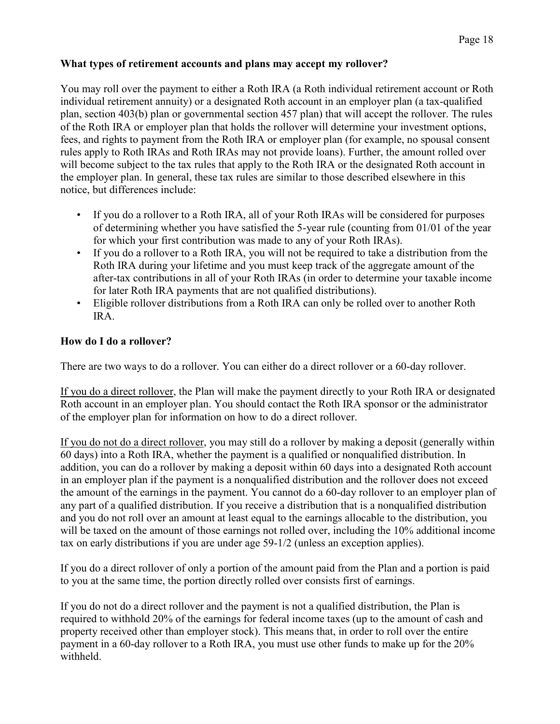## **What types of retirement accounts and plans may accept my rollover?**

You may roll over the payment to either a Roth IRA (a Roth individual retirement account or Roth individual retirement annuity) or a designated Roth account in an employer plan (a tax-qualified plan, section 403(b) plan or governmental section 457 plan) that will accept the rollover. The rules of the Roth IRA or employer plan that holds the rollover will determine your investment options, fees, and rights to payment from the Roth IRA or employer plan (for example, no spousal consent rules apply to Roth IRAs and Roth IRAs may not provide loans). Further, the amount rolled over will become subject to the tax rules that apply to the Roth IRA or the designated Roth account in the employer plan. In general, these tax rules are similar to those described elsewhere in this notice, but differences include:

- If you do a rollover to a Roth IRA, all of your Roth IRAs will be considered for purposes of determining whether you have satisfied the 5-year rule (counting from 01/01 of the year for which your first contribution was made to any of your Roth IRAs).
- If you do a rollover to a Roth IRA, you will not be required to take a distribution from the Roth IRA during your lifetime and you must keep track of the aggregate amount of the after-tax contributions in all of your Roth IRAs (in order to determine your taxable income for later Roth IRA payments that are not qualified distributions).
- Eligible rollover distributions from a Roth IRA can only be rolled over to another Roth IRA.

## **How do I do a rollover?**

There are two ways to do a rollover. You can either do a direct rollover or a 60-day rollover.

If you do a direct rollover, the Plan will make the payment directly to your Roth IRA or designated Roth account in an employer plan. You should contact the Roth IRA sponsor or the administrator of the employer plan for information on how to do a direct rollover.

If you do not do a direct rollover, you may still do a rollover by making a deposit (generally within 60 days) into a Roth IRA, whether the payment is a qualified or nonqualified distribution. In addition, you can do a rollover by making a deposit within 60 days into a designated Roth account in an employer plan if the payment is a nonqualified distribution and the rollover does not exceed the amount of the earnings in the payment. You cannot do a 60-day rollover to an employer plan of any part of a qualified distribution. If you receive a distribution that is a nonqualified distribution and you do not roll over an amount at least equal to the earnings allocable to the distribution, you will be taxed on the amount of those earnings not rolled over, including the 10% additional income tax on early distributions if you are under age 59-1/2 (unless an exception applies).

If you do a direct rollover of only a portion of the amount paid from the Plan and a portion is paid to you at the same time, the portion directly rolled over consists first of earnings.

If you do not do a direct rollover and the payment is not a qualified distribution, the Plan is required to withhold 20% of the earnings for federal income taxes (up to the amount of cash and property received other than employer stock). This means that, in order to roll over the entire payment in a 60-day rollover to a Roth IRA, you must use other funds to make up for the 20% withheld.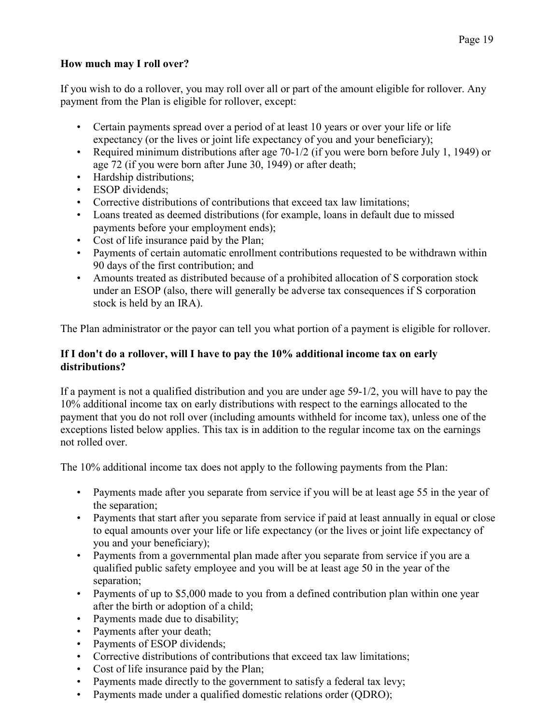## **How much may I roll over?**

If you wish to do a rollover, you may roll over all or part of the amount eligible for rollover. Any payment from the Plan is eligible for rollover, except:

- Certain payments spread over a period of at least 10 years or over your life or life expectancy (or the lives or joint life expectancy of you and your beneficiary);
- Required minimum distributions after age 70-1/2 (if you were born before July 1, 1949) or age 72 (if you were born after June 30, 1949) or after death;
- Hardship distributions;
- ESOP dividends:
- Corrective distributions of contributions that exceed tax law limitations;
- Loans treated as deemed distributions (for example, loans in default due to missed payments before your employment ends);
- Cost of life insurance paid by the Plan;
- Payments of certain automatic enrollment contributions requested to be withdrawn within 90 days of the first contribution; and
- Amounts treated as distributed because of a prohibited allocation of S corporation stock under an ESOP (also, there will generally be adverse tax consequences if S corporation stock is held by an IRA).

The Plan administrator or the payor can tell you what portion of a payment is eligible for rollover.

## **If I don't do a rollover, will I have to pay the 10% additional income tax on early distributions?**

If a payment is not a qualified distribution and you are under age 59-1/2, you will have to pay the 10% additional income tax on early distributions with respect to the earnings allocated to the payment that you do not roll over (including amounts withheld for income tax), unless one of the exceptions listed below applies. This tax is in addition to the regular income tax on the earnings not rolled over.

The 10% additional income tax does not apply to the following payments from the Plan:

- Payments made after you separate from service if you will be at least age 55 in the year of the separation;
- Payments that start after you separate from service if paid at least annually in equal or close to equal amounts over your life or life expectancy (or the lives or joint life expectancy of you and your beneficiary);
- Payments from a governmental plan made after you separate from service if you are a qualified public safety employee and you will be at least age 50 in the year of the separation;
- Payments of up to \$5,000 made to you from a defined contribution plan within one year after the birth or adoption of a child;
- Payments made due to disability;
- Payments after your death;
- Payments of ESOP dividends;
- Corrective distributions of contributions that exceed tax law limitations;
- Cost of life insurance paid by the Plan;
- Payments made directly to the government to satisfy a federal tax levy;
- Payments made under a qualified domestic relations order (QDRO);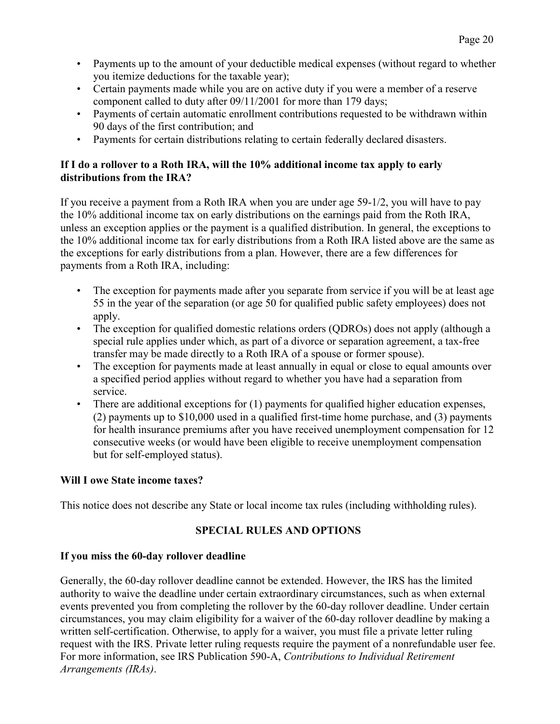- Payments up to the amount of your deductible medical expenses (without regard to whether you itemize deductions for the taxable year);
- Certain payments made while you are on active duty if you were a member of a reserve component called to duty after 09/11/2001 for more than 179 days;
- Payments of certain automatic enrollment contributions requested to be withdrawn within 90 days of the first contribution; and
- Payments for certain distributions relating to certain federally declared disasters.

## **If I do a rollover to a Roth IRA, will the 10% additional income tax apply to early distributions from the IRA?**

If you receive a payment from a Roth IRA when you are under age 59-1/2, you will have to pay the 10% additional income tax on early distributions on the earnings paid from the Roth IRA, unless an exception applies or the payment is a qualified distribution. In general, the exceptions to the 10% additional income tax for early distributions from a Roth IRA listed above are the same as the exceptions for early distributions from a plan. However, there are a few differences for payments from a Roth IRA, including:

- The exception for payments made after you separate from service if you will be at least age 55 in the year of the separation (or age 50 for qualified public safety employees) does not apply.
- The exception for qualified domestic relations orders (QDROs) does not apply (although a special rule applies under which, as part of a divorce or separation agreement, a tax-free transfer may be made directly to a Roth IRA of a spouse or former spouse).
- The exception for payments made at least annually in equal or close to equal amounts over a specified period applies without regard to whether you have had a separation from service.
- There are additional exceptions for (1) payments for qualified higher education expenses, (2) payments up to \$10,000 used in a qualified first-time home purchase, and (3) payments for health insurance premiums after you have received unemployment compensation for 12 consecutive weeks (or would have been eligible to receive unemployment compensation but for self-employed status).

## **Will I owe State income taxes?**

This notice does not describe any State or local income tax rules (including withholding rules).

## **SPECIAL RULES AND OPTIONS**

## **If you miss the 60-day rollover deadline**

Generally, the 60-day rollover deadline cannot be extended. However, the IRS has the limited authority to waive the deadline under certain extraordinary circumstances, such as when external events prevented you from completing the rollover by the 60-day rollover deadline. Under certain circumstances, you may claim eligibility for a waiver of the 60-day rollover deadline by making a written self-certification. Otherwise, to apply for a waiver, you must file a private letter ruling request with the IRS. Private letter ruling requests require the payment of a nonrefundable user fee. For more information, see IRS Publication 590-A, *Contributions to Individual Retirement Arrangements (IRAs)*.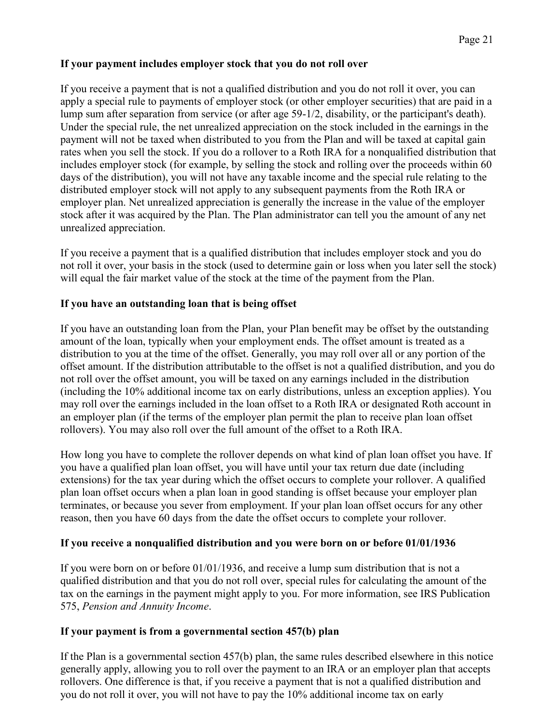## **If your payment includes employer stock that you do not roll over**

If you receive a payment that is not a qualified distribution and you do not roll it over, you can apply a special rule to payments of employer stock (or other employer securities) that are paid in a lump sum after separation from service (or after age 59-1/2, disability, or the participant's death). Under the special rule, the net unrealized appreciation on the stock included in the earnings in the payment will not be taxed when distributed to you from the Plan and will be taxed at capital gain rates when you sell the stock. If you do a rollover to a Roth IRA for a nonqualified distribution that includes employer stock (for example, by selling the stock and rolling over the proceeds within 60 days of the distribution), you will not have any taxable income and the special rule relating to the distributed employer stock will not apply to any subsequent payments from the Roth IRA or employer plan. Net unrealized appreciation is generally the increase in the value of the employer stock after it was acquired by the Plan. The Plan administrator can tell you the amount of any net unrealized appreciation.

If you receive a payment that is a qualified distribution that includes employer stock and you do not roll it over, your basis in the stock (used to determine gain or loss when you later sell the stock) will equal the fair market value of the stock at the time of the payment from the Plan.

## **If you have an outstanding loan that is being offset**

If you have an outstanding loan from the Plan, your Plan benefit may be offset by the outstanding amount of the loan, typically when your employment ends. The offset amount is treated as a distribution to you at the time of the offset. Generally, you may roll over all or any portion of the offset amount. If the distribution attributable to the offset is not a qualified distribution, and you do not roll over the offset amount, you will be taxed on any earnings included in the distribution (including the 10% additional income tax on early distributions, unless an exception applies). You may roll over the earnings included in the loan offset to a Roth IRA or designated Roth account in an employer plan (if the terms of the employer plan permit the plan to receive plan loan offset rollovers). You may also roll over the full amount of the offset to a Roth IRA.

How long you have to complete the rollover depends on what kind of plan loan offset you have. If you have a qualified plan loan offset, you will have until your tax return due date (including extensions) for the tax year during which the offset occurs to complete your rollover. A qualified plan loan offset occurs when a plan loan in good standing is offset because your employer plan terminates, or because you sever from employment. If your plan loan offset occurs for any other reason, then you have 60 days from the date the offset occurs to complete your rollover.

## **If you receive a nonqualified distribution and you were born on or before 01/01/1936**

If you were born on or before 01/01/1936, and receive a lump sum distribution that is not a qualified distribution and that you do not roll over, special rules for calculating the amount of the tax on the earnings in the payment might apply to you. For more information, see IRS Publication 575, *Pension and Annuity Income*.

## **If your payment is from a governmental section 457(b) plan**

If the Plan is a governmental section 457(b) plan, the same rules described elsewhere in this notice generally apply, allowing you to roll over the payment to an IRA or an employer plan that accepts rollovers. One difference is that, if you receive a payment that is not a qualified distribution and you do not roll it over, you will not have to pay the 10% additional income tax on early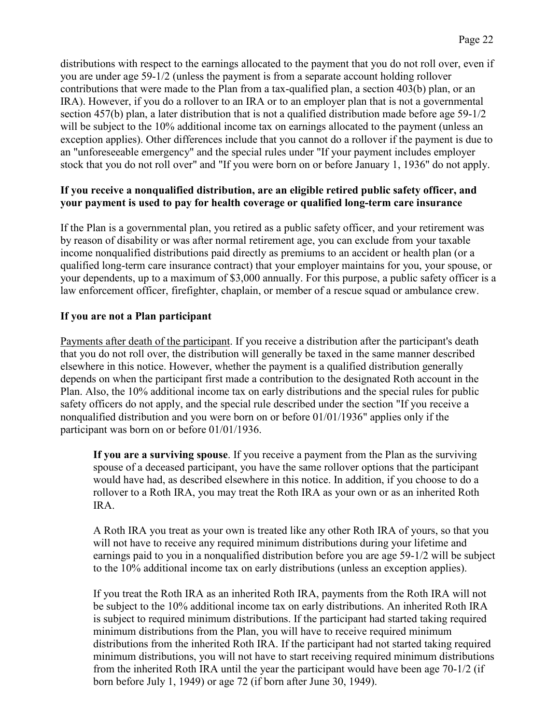distributions with respect to the earnings allocated to the payment that you do not roll over, even if you are under age 59-1/2 (unless the payment is from a separate account holding rollover contributions that were made to the Plan from a tax-qualified plan, a section 403(b) plan, or an IRA). However, if you do a rollover to an IRA or to an employer plan that is not a governmental section 457(b) plan, a later distribution that is not a qualified distribution made before age 59-1/2 will be subject to the 10% additional income tax on earnings allocated to the payment (unless an exception applies). Other differences include that you cannot do a rollover if the payment is due to an "unforeseeable emergency" and the special rules under "If your payment includes employer stock that you do not roll over" and "If you were born on or before January 1, 1936" do not apply.

## **If you receive a nonqualified distribution, are an eligible retired public safety officer, and your payment is used to pay for health coverage or qualified long-term care insurance**

If the Plan is a governmental plan, you retired as a public safety officer, and your retirement was by reason of disability or was after normal retirement age, you can exclude from your taxable income nonqualified distributions paid directly as premiums to an accident or health plan (or a qualified long-term care insurance contract) that your employer maintains for you, your spouse, or your dependents, up to a maximum of \$3,000 annually. For this purpose, a public safety officer is a law enforcement officer, firefighter, chaplain, or member of a rescue squad or ambulance crew.

## **If you are not a Plan participant**

Payments after death of the participant. If you receive a distribution after the participant's death that you do not roll over, the distribution will generally be taxed in the same manner described elsewhere in this notice. However, whether the payment is a qualified distribution generally depends on when the participant first made a contribution to the designated Roth account in the Plan. Also, the 10% additional income tax on early distributions and the special rules for public safety officers do not apply, and the special rule described under the section "If you receive a nonqualified distribution and you were born on or before 01/01/1936" applies only if the participant was born on or before 01/01/1936.

**If you are a surviving spouse**. If you receive a payment from the Plan as the surviving spouse of a deceased participant, you have the same rollover options that the participant would have had, as described elsewhere in this notice. In addition, if you choose to do a rollover to a Roth IRA, you may treat the Roth IRA as your own or as an inherited Roth IRA.

A Roth IRA you treat as your own is treated like any other Roth IRA of yours, so that you will not have to receive any required minimum distributions during your lifetime and earnings paid to you in a nonqualified distribution before you are age 59-1/2 will be subject to the 10% additional income tax on early distributions (unless an exception applies).

If you treat the Roth IRA as an inherited Roth IRA, payments from the Roth IRA will not be subject to the 10% additional income tax on early distributions. An inherited Roth IRA is subject to required minimum distributions. If the participant had started taking required minimum distributions from the Plan, you will have to receive required minimum distributions from the inherited Roth IRA. If the participant had not started taking required minimum distributions, you will not have to start receiving required minimum distributions from the inherited Roth IRA until the year the participant would have been age 70-1/2 (if born before July 1, 1949) or age 72 (if born after June 30, 1949).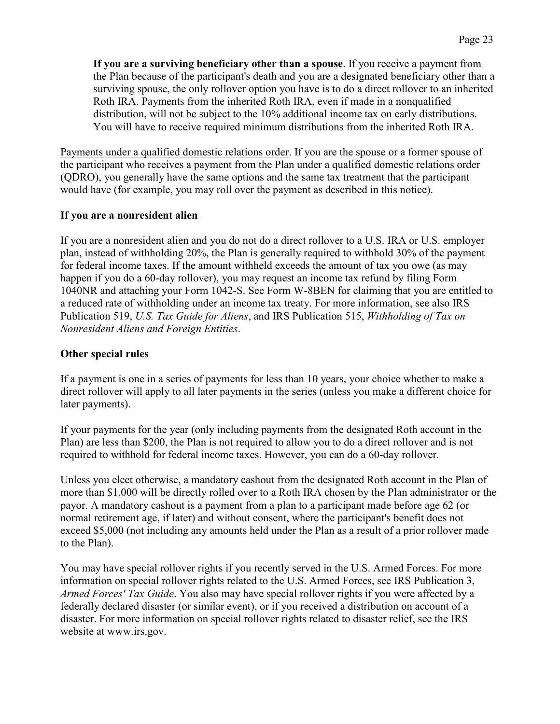**If you are a surviving beneficiary other than a spouse**. If you receive a payment from the Plan because of the participant's death and you are a designated beneficiary other than a surviving spouse, the only rollover option you have is to do a direct rollover to an inherited Roth IRA. Payments from the inherited Roth IRA, even if made in a nonqualified distribution, will not be subject to the 10% additional income tax on early distributions. You will have to receive required minimum distributions from the inherited Roth IRA.

Payments under a qualified domestic relations order. If you are the spouse or a former spouse of the participant who receives a payment from the Plan under a qualified domestic relations order (QDRO), you generally have the same options and the same tax treatment that the participant would have (for example, you may roll over the payment as described in this notice).

#### **If you are a nonresident alien**

If you are a nonresident alien and you do not do a direct rollover to a U.S. IRA or U.S. employer plan, instead of withholding 20%, the Plan is generally required to withhold 30% of the payment for federal income taxes. If the amount withheld exceeds the amount of tax you owe (as may happen if you do a 60-day rollover), you may request an income tax refund by filing Form 1040NR and attaching your Form 1042-S. See Form W-8BEN for claiming that you are entitled to a reduced rate of withholding under an income tax treaty. For more information, see also IRS Publication 519, *U.S. Tax Guide for Aliens*, and IRS Publication 515, *Withholding of Tax on Nonresident Aliens and Foreign Entities*.

## **Other special rules**

If a payment is one in a series of payments for less than 10 years, your choice whether to make a direct rollover will apply to all later payments in the series (unless you make a different choice for later payments).

If your payments for the year (only including payments from the designated Roth account in the Plan) are less than \$200, the Plan is not required to allow you to do a direct rollover and is not required to withhold for federal income taxes. However, you can do a 60-day rollover.

Unless you elect otherwise, a mandatory cashout from the designated Roth account in the Plan of more than \$1,000 will be directly rolled over to a Roth IRA chosen by the Plan administrator or the payor. A mandatory cashout is a payment from a plan to a participant made before age 62 (or normal retirement age, if later) and without consent, where the participant's benefit does not exceed \$5,000 (not including any amounts held under the Plan as a result of a prior rollover made to the Plan).

You may have special rollover rights if you recently served in the U.S. Armed Forces. For more information on special rollover rights related to the U.S. Armed Forces, see IRS Publication 3, *Armed Forces' Tax Guide*. You also may have special rollover rights if you were affected by a federally declared disaster (or similar event), or if you received a distribution on account of a disaster. For more information on special rollover rights related to disaster relief, see the IRS website at www.irs.gov.